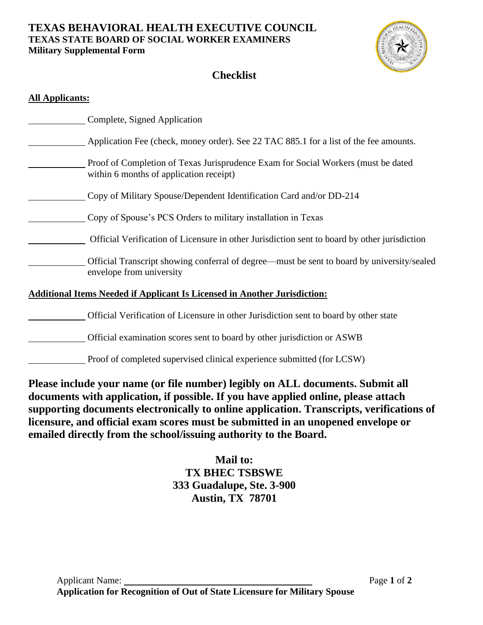### **TEXAS BEHAVIORAL HEALTH EXECUTIVE COUNCIL TEXAS STATE BOARD OF SOCIAL WORKER EXAMINERS Military Supplemental Form**



# **Checklist**

| <b>All Applicants:</b>                                                           |                                                                                                                              |  |  |  |
|----------------------------------------------------------------------------------|------------------------------------------------------------------------------------------------------------------------------|--|--|--|
|                                                                                  | Complete, Signed Application                                                                                                 |  |  |  |
|                                                                                  | Application Fee (check, money order). See 22 TAC 885.1 for a list of the fee amounts.                                        |  |  |  |
|                                                                                  | Proof of Completion of Texas Jurisprudence Exam for Social Workers (must be dated<br>within 6 months of application receipt) |  |  |  |
|                                                                                  | Copy of Military Spouse/Dependent Identification Card and/or DD-214                                                          |  |  |  |
|                                                                                  | Copy of Spouse's PCS Orders to military installation in Texas                                                                |  |  |  |
|                                                                                  | Official Verification of Licensure in other Jurisdiction sent to board by other jurisdiction                                 |  |  |  |
|                                                                                  | Official Transcript showing conferral of degree—must be sent to board by university/sealed<br>envelope from university       |  |  |  |
| <b>Additional Items Needed if Applicant Is Licensed in Another Jurisdiction:</b> |                                                                                                                              |  |  |  |
|                                                                                  | Official Verification of Licensure in other Jurisdiction sent to board by other state                                        |  |  |  |
|                                                                                  | Official examination scores sent to board by other jurisdiction or ASWB                                                      |  |  |  |
|                                                                                  | Proof of completed supervised clinical experience submitted (for LCSW)                                                       |  |  |  |

**Please include your name (or file number) legibly on ALL documents. Submit all documents with application, if possible. If you have applied online, please attach supporting documents electronically to online application. Transcripts, verifications of licensure, and official exam scores must be submitted in an unopened envelope or emailed directly from the school/issuing authority to the Board.** 

# **Mail to: TX BHEC TSBSWE 333 Guadalupe, Ste. 3-900 Austin, TX 78701**